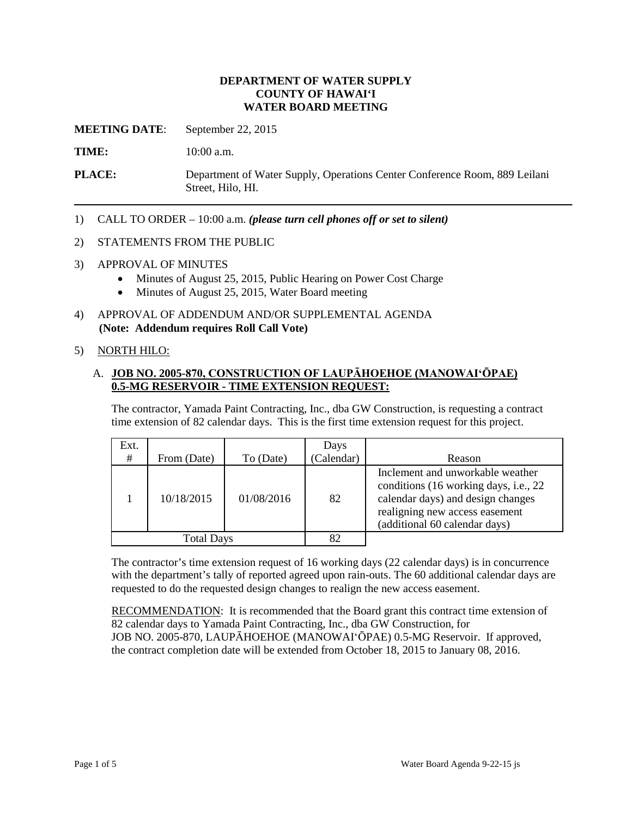## **DEPARTMENT OF WATER SUPPLY COUNTY OF HAWAI'I WATER BOARD MEETING**

**MEETING DATE**: September 22, 2015

TIME: 10:00 a.m.

**PLACE:** Department of Water Supply, Operations Center Conference Room, 889 Leilani Street, Hilo, HI.

1) CALL TO ORDER – 10:00 a.m. *(please turn cell phones off or set to silent)* 

#### 2) STATEMENTS FROM THE PUBLIC

- 3) APPROVAL OF MINUTES
	- Minutes of August 25, 2015, Public Hearing on Power Cost Charge
	- Minutes of August 25, 2015, Water Board meeting
- 4) APPROVAL OF ADDENDUM AND/OR SUPPLEMENTAL AGENDA **(Note: Addendum requires Roll Call Vote)**

#### 5) NORTH HILO:

## A. **JOB NO. 2005-870, CONSTRUCTION OF LAUPĀHOEHOE (MANOWAI'ŌPAE) 0.5-MG RESERVOIR - TIME EXTENSION REQUEST:**

The contractor, Yamada Paint Contracting, Inc., dba GW Construction, is requesting a contract time extension of 82 calendar days. This is the first time extension request for this project.

| Ext.<br>#         | From (Date) | To (Date)  | Days<br>(Calendar) | Reason                                                                                                                                                                            |
|-------------------|-------------|------------|--------------------|-----------------------------------------------------------------------------------------------------------------------------------------------------------------------------------|
|                   | 10/18/2015  | 01/08/2016 | 82                 | Inclement and unworkable weather<br>conditions (16 working days, i.e., 22<br>calendar days) and design changes<br>realigning new access easement<br>(additional 60 calendar days) |
| <b>Total Days</b> |             |            | 82                 |                                                                                                                                                                                   |

 with the department's tally of reported agreed upon rain-outs. The 60 additional calendar days are The contractor's time extension request of 16 working days (22 calendar days) is in concurrence requested to do the requested design changes to realign the new access easement.

RECOMMENDATION: It is recommended that the Board grant this contract time extension of 82 calendar days to Yamada Paint Contracting, Inc., dba GW Construction, for JOB NO. 2005-870, LAUPĀHOEHOE (MANOWAI'ŌPAE) 0.5-MG Reservoir. If approved, the contract completion date will be extended from October 18, 2015 to January 08, 2016.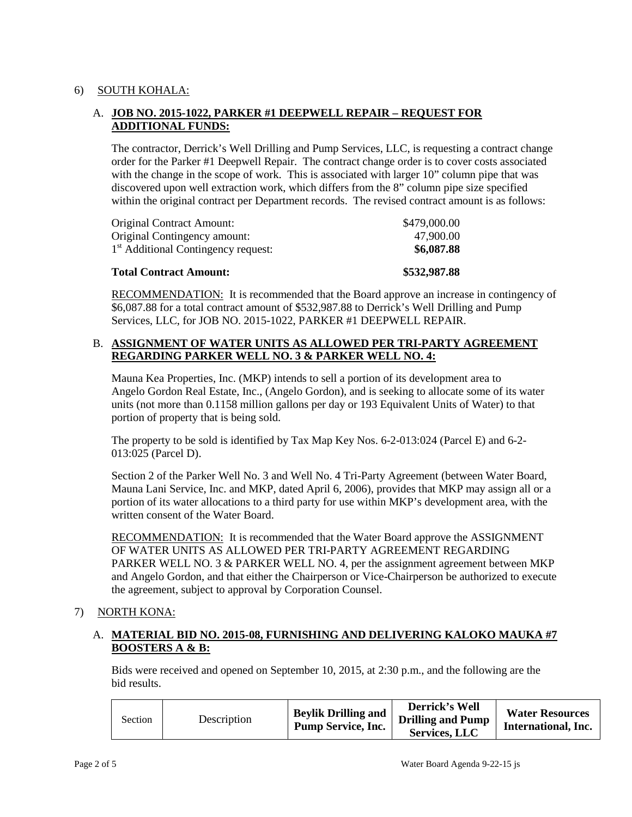# 6) SOUTH KOHALA:

# A. **JOB NO. 2015-1022, PARKER #1 DEEPWELL REPAIR – REQUEST FOR ADDITIONAL FUNDS:**

 order for the Parker #1 Deepwell Repair. The contract change order is to cover costs associated within the original contract per Department records. The revised contract amount is as follows: The contractor, Derrick's Well Drilling and Pump Services, LLC, is requesting a contract change with the change in the scope of work. This is associated with larger 10" column pipe that was discovered upon well extraction work, which differs from the 8" column pipe size specified

| <b>Total Contract Amount:</b>                   | \$532,987.88 |
|-------------------------------------------------|--------------|
| 1 <sup>st</sup> Additional Contingency request: | \$6,087.88   |
| Original Contingency amount:                    | 47.900.00    |
| <b>Original Contract Amount:</b>                | \$479,000.00 |

RECOMMENDATION: It is recommended that the Board approve an increase in contingency of \$6,087.88 for a total contract amount of \$532,987.88 to Derrick's Well Drilling and Pump Services, LLC, for JOB NO. 2015-1022, PARKER #1 DEEPWELL REPAIR.

# **REGARDING PARKER WELL NO. 3 & PARKER WELL NO. 4:**  B. **ASSIGNMENT OF WATER UNITS AS ALLOWED PER TRI-PARTY AGREEMENT**

 Mauna Kea Properties, Inc. (MKP) intends to sell a portion of its development area to Angelo Gordon Real Estate, Inc., (Angelo Gordon), and is seeking to allocate some of its water units (not more than 0.1158 million gallons per day or 193 Equivalent Units of Water) to that portion of property that is being sold.

The property to be sold is identified by Tax Map Key Nos. 6-2-013:024 (Parcel E) and 6-2 013:025 (Parcel D).

 Mauna Lani Service, Inc. and MKP, dated April 6, 2006), provides that MKP may assign all or a Section 2 of the Parker Well No. 3 and Well No. 4 Tri-Party Agreement (between Water Board, portion of its water allocations to a third party for use within MKP's development area, with the written consent of the Water Board.

RECOMMENDATION: It is recommended that the Water Board approve the ASSIGNMENT OF WATER UNITS AS ALLOWED PER TRI-PARTY AGREEMENT REGARDING PARKER WELL NO. 3 & PARKER WELL NO. 4, per the assignment agreement between MKP and Angelo Gordon, and that either the Chairperson or Vice-Chairperson be authorized to execute the agreement, subject to approval by Corporation Counsel.

## 7) NORTH KONA:

## A. **MATERIAL BID NO. 2015-08, FURNISHING AND DELIVERING KALOKO MAUKA #7 BOOSTERS A & B:**

Bids were received and opened on September 10, 2015, at 2:30 p.m., and the following are the bid results.

| Section | Description | <b>Beylik Drilling and</b><br><b>Pump Service, Inc.</b> | Derrick's Well<br><b>Drilling and Pump</b><br><b>Services, LLC</b> | <b>Water Resources</b><br>International, Inc. |
|---------|-------------|---------------------------------------------------------|--------------------------------------------------------------------|-----------------------------------------------|
|---------|-------------|---------------------------------------------------------|--------------------------------------------------------------------|-----------------------------------------------|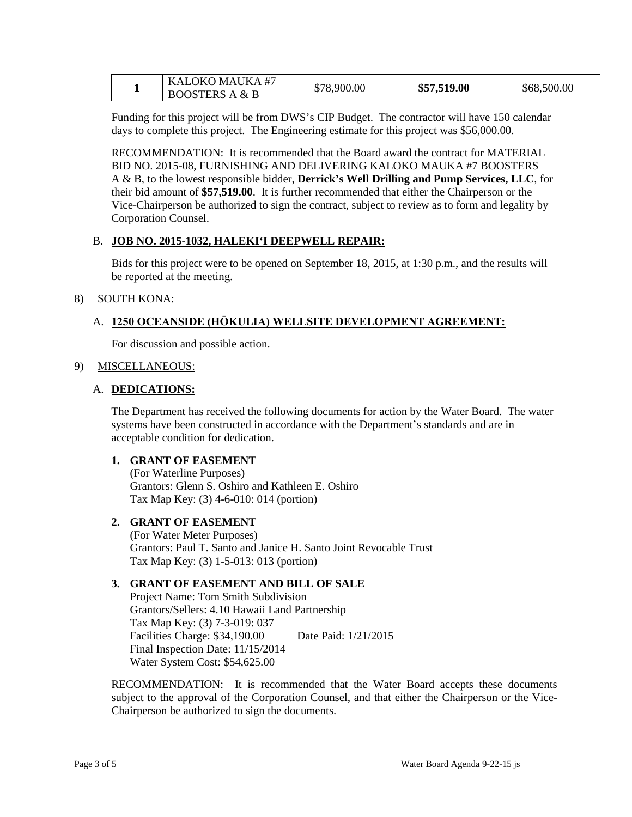| KALOKO MAUKA #7           | \$78,900.00 | \$57,519.00 | \$68,500.00 |
|---------------------------|-------------|-------------|-------------|
| <b>BOOSTERS A &amp; B</b> |             |             |             |

Funding for this project will be from DWS's CIP Budget. The contractor will have 150 calendar days to complete this project. The Engineering estimate for this project was \$56,000.00.

RECOMMENDATION: It is recommended that the Board award the contract for MATERIAL BID NO. 2015-08, FURNISHING AND DELIVERING KALOKO MAUKA #7 BOOSTERS A & B, to the lowest responsible bidder, **Derrick's Well Drilling and Pump Services, LLC**, for their bid amount of **\$57,519.00**. It is further recommended that either the Chairperson or the Vice-Chairperson be authorized to sign the contract, subject to review as to form and legality by Corporation Counsel.

#### B. **JOB NO. 2015-1032, HALEKI'I DEEPWELL REPAIR:**

Bids for this project were to be opened on September 18, 2015, at 1:30 p.m., and the results will be reported at the meeting.

#### 8) SOUTH KONA:

## A. **1250 OCEANSIDE (HŌKULIA) WELLSITE DEVELOPMENT AGREEMENT:**

For discussion and possible action.

#### 9) MISCELLANEOUS:

#### A. **DEDICATIONS:**

 The Department has received the following documents for action by the Water Board. The water systems have been constructed in accordance with the Department's standards and are in acceptable condition for dedication.

## **1. GRANT OF EASEMENT**

(For Waterline Purposes) Grantors: Glenn S. Oshiro and Kathleen E. Oshiro Tax Map Key: (3) 4-6-010: 014 (portion)

## **2. GRANT OF EASEMENT**

 Grantors: Paul T. Santo and Janice H. Santo Joint Revocable Trust (For Water Meter Purposes) Tax Map Key: (3) 1-5-013: 013 (portion)

## **3. GRANT OF EASEMENT AND BILL OF SALE**

 Final Inspection Date: 11/15/2014 Project Name: Tom Smith Subdivision Grantors/Sellers: 4.10 Hawaii Land Partnership Tax Map Key: (3) 7-3-019: 037 Facilities Charge: \$34,190.00 Date Paid: 1/21/2015 Water System Cost: \$54,625.00

**RECOMMENDATION:** It is recommended that the Water Board accepts these documents subject to the approval of the Corporation Counsel, and that either the Chairperson or the Vice-Chairperson be authorized to sign the documents.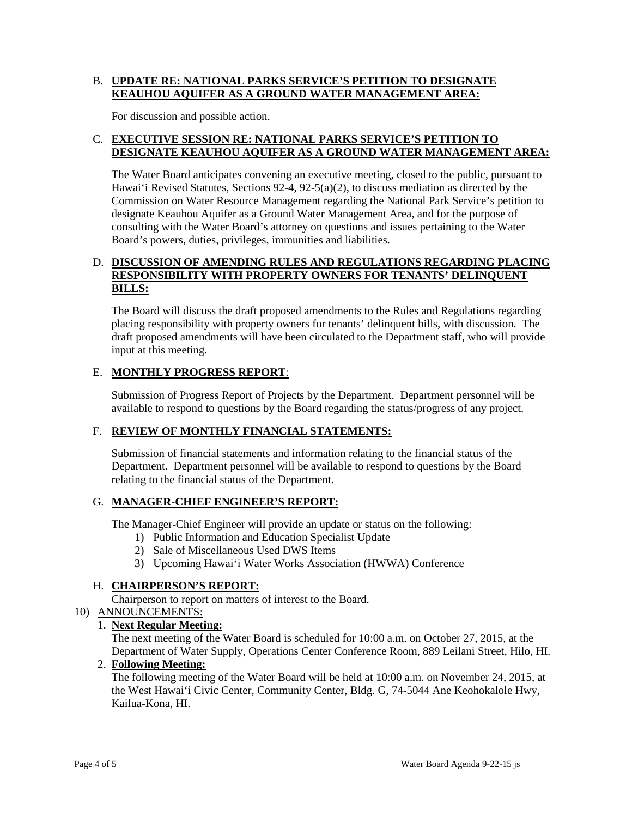# B. **UPDATE RE: NATIONAL PARKS SERVICE'S PETITION TO DESIGNATE KEAUHOU AQUIFER AS A GROUND WATER MANAGEMENT AREA:**

For discussion and possible action.

## C. **EXECUTIVE SESSION RE: NATIONAL PARKS SERVICE'S PETITION TO DESIGNATE KEAUHOU AQUIFER AS A GROUND WATER MANAGEMENT AREA:**

 Hawai'i Revised Statutes, Sections 92-4, 92-5(a)(2), to discuss mediation as directed by the Commission on Water Resource Management regarding the National Park Service's petition to designate Keauhou Aquifer as a Ground Water Management Area, and for the purpose of The Water Board anticipates convening an executive meeting, closed to the public, pursuant to consulting with the Water Board's attorney on questions and issues pertaining to the Water Board's powers, duties, privileges, immunities and liabilities.

## D. **DISCUSSION OF AMENDING RULES AND REGULATIONS REGARDING PLACING RESPONSIBILITY WITH PROPERTY OWNERS FOR TENANTS' DELINQUENT BILLS:**

 The Board will discuss the draft proposed amendments to the Rules and Regulations regarding placing responsibility with property owners for tenants' delinquent bills, with discussion. The draft proposed amendments will have been circulated to the Department staff, who will provide input at this meeting.

# E. **MONTHLY PROGRESS REPORT**:

Submission of Progress Report of Projects by the Department. Department personnel will be available to respond to questions by the Board regarding the status/progress of any project.

# F. **REVIEW OF MONTHLY FINANCIAL STATEMENTS:**

 Submission of financial statements and information relating to the financial status of the relating to the financial status of the Department. Department. Department personnel will be available to respond to questions by the Board

# G. **MANAGER-CHIEF ENGINEER'S REPORT:**

The Manager-Chief Engineer will provide an update or status on the following:

- 1) Public Information and Education Specialist Update
- 2) Sale of Miscellaneous Used DWS Items
- 3) Upcoming Hawai'i Water Works Association (HWWA) Conference

# H. **CHAIRPERSON'S REPORT:**

Chairperson to report on matters of interest to the Board.

# 10) ANNOUNCEMENTS:

## 1. **Next Regular Meeting:**

 The next meeting of the Water Board is scheduled for 10:00 a.m. on October 27, 2015, at the Department of Water Supply, Operations Center Conference Room, 889 Leilani Street, Hilo, HI.

## 2. **Following Meeting:**

The following meeting of the Water Board will be held at 10:00 a.m. on November 24, 2015, at the West Hawai'i Civic Center, Community Center, Bldg. G, 74-5044 Ane Keohokalole Hwy, Kailua-Kona, HI.